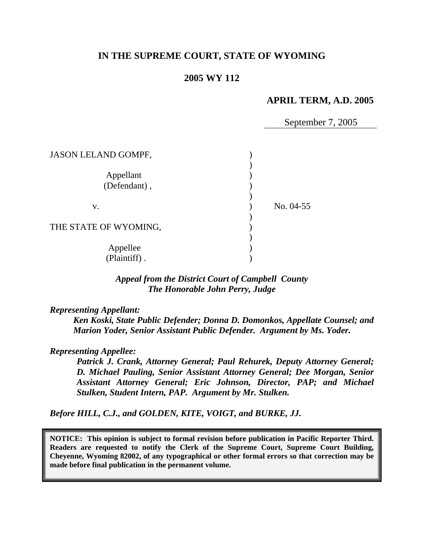# **IN THE SUPREME COURT, STATE OF WYOMING**

### **2005 WY 112**

### **APRIL TERM, A.D. 2005**

September 7, 2005

| <b>JASON LELAND GOMPF,</b> |           |
|----------------------------|-----------|
| Appellant<br>(Defendant),  |           |
| V.                         | No. 04-55 |
| THE STATE OF WYOMING,      |           |
| Appellee                   |           |
| (Plaintiff).               |           |

*Appeal from the District Court of Campbell County The Honorable John Perry, Judge* 

*Representing Appellant:* 

*Ken Koski, State Public Defender; Donna D. Domonkos, Appellate Counsel; and Marion Yoder, Senior Assistant Public Defender. Argument by Ms. Yoder.* 

*Representing Appellee:* 

*Patrick J. Crank, Attorney General; Paul Rehurek, Deputy Attorney General; D. Michael Pauling, Senior Assistant Attorney General; Dee Morgan, Senior Assistant Attorney General; Eric Johnson, Director, PAP; and Michael Stulken, Student Intern, PAP. Argument by Mr. Stulken.* 

*Before HILL, C.J., and GOLDEN, KITE, VOIGT, and BURKE, JJ.* 

**NOTICE: This opinion is subject to formal revision before publication in Pacific Reporter Third. Readers are requested to notify the Clerk of the Supreme Court, Supreme Court Building, Cheyenne, Wyoming 82002, of any typographical or other formal errors so that correction may be made before final publication in the permanent volume.**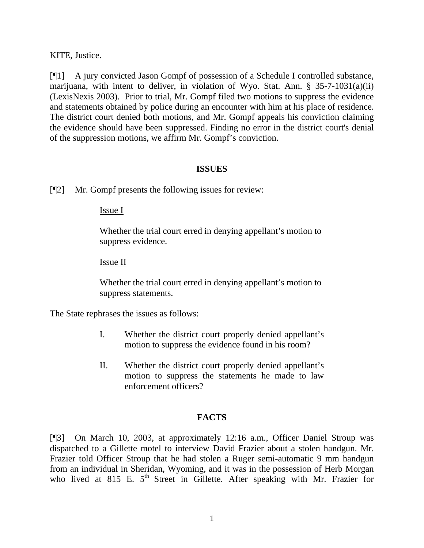KITE, Justice.

[¶1] A jury convicted Jason Gompf of possession of a Schedule I controlled substance, marijuana, with intent to deliver, in violation of Wyo. Stat. Ann. § 35-7-1031(a)(ii) (LexisNexis 2003). Prior to trial, Mr. Gompf filed two motions to suppress the evidence and statements obtained by police during an encounter with him at his place of residence. The district court denied both motions, and Mr. Gompf appeals his conviction claiming the evidence should have been suppressed. Finding no error in the district court's denial of the suppression motions, we affirm Mr. Gompf's conviction.

#### **ISSUES**

[¶2] Mr. Gompf presents the following issues for review:

Issue I

Whether the trial court erred in denying appellant's motion to suppress evidence.

Issue II

Whether the trial court erred in denying appellant's motion to suppress statements.

The State rephrases the issues as follows:

- I. Whether the district court properly denied appellant's motion to suppress the evidence found in his room?
- II. Whether the district court properly denied appellant's motion to suppress the statements he made to law enforcement officers?

#### **FACTS**

[¶3] On March 10, 2003, at approximately 12:16 a.m., Officer Daniel Stroup was dispatched to a Gillette motel to interview David Frazier about a stolen handgun. Mr. Frazier told Officer Stroup that he had stolen a Ruger semi-automatic 9 mm handgun from an individual in Sheridan, Wyoming, and it was in the possession of Herb Morgan who lived at 815 E. 5<sup>th</sup> Street in Gillette. After speaking with Mr. Frazier for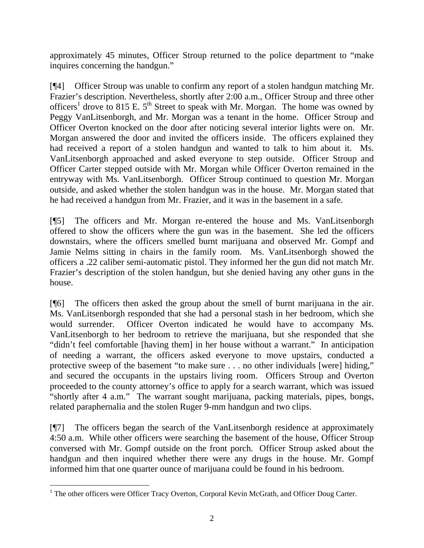approximately 45 minutes, Officer Stroup returned to the police department to "make inquires concerning the handgun."

[¶4] Officer Stroup was unable to confirm any report of a stolen handgun matching Mr. Frazier's description. Nevertheless, shortly after 2:00 a.m., Officer Stroup and three other officers<sup>[1](#page-2-0)</sup> drove to 815 E.  $5<sup>th</sup>$  Street to speak with Mr. Morgan. The home was owned by Peggy VanLitsenborgh, and Mr. Morgan was a tenant in the home. Officer Stroup and Officer Overton knocked on the door after noticing several interior lights were on. Mr. Morgan answered the door and invited the officers inside. The officers explained they had received a report of a stolen handgun and wanted to talk to him about it. Ms. VanLitsenborgh approached and asked everyone to step outside. Officer Stroup and Officer Carter stepped outside with Mr. Morgan while Officer Overton remained in the entryway with Ms. VanLitsenborgh. Officer Stroup continued to question Mr. Morgan outside, and asked whether the stolen handgun was in the house. Mr. Morgan stated that he had received a handgun from Mr. Frazier, and it was in the basement in a safe.

[¶5] The officers and Mr. Morgan re-entered the house and Ms. VanLitsenborgh offered to show the officers where the gun was in the basement. She led the officers downstairs, where the officers smelled burnt marijuana and observed Mr. Gompf and Jamie Nelms sitting in chairs in the family room. Ms. VanLitsenborgh showed the officers a .22 caliber semi-automatic pistol. They informed her the gun did not match Mr. Frazier's description of the stolen handgun, but she denied having any other guns in the house.

[¶6] The officers then asked the group about the smell of burnt marijuana in the air. Ms. VanLitsenborgh responded that she had a personal stash in her bedroom, which she would surrender. Officer Overton indicated he would have to accompany Ms. VanLitsenborgh to her bedroom to retrieve the marijuana, but she responded that she "didn't feel comfortable [having them] in her house without a warrant." In anticipation of needing a warrant, the officers asked everyone to move upstairs, conducted a protective sweep of the basement "to make sure . . . no other individuals [were] hiding," and secured the occupants in the upstairs living room. Officers Stroup and Overton proceeded to the county attorney's office to apply for a search warrant, which was issued "shortly after 4 a.m." The warrant sought marijuana, packing materials, pipes, bongs, related paraphernalia and the stolen Ruger 9-mm handgun and two clips.

[¶7] The officers began the search of the VanLitsenborgh residence at approximately 4:50 a.m. While other officers were searching the basement of the house, Officer Stroup conversed with Mr. Gompf outside on the front porch. Officer Stroup asked about the handgun and then inquired whether there were any drugs in the house. Mr. Gompf informed him that one quarter ounce of marijuana could be found in his bedroom.

<span id="page-2-0"></span> $\frac{1}{1}$ <sup>1</sup> The other officers were Officer Tracy Overton, Corporal Kevin McGrath, and Officer Doug Carter.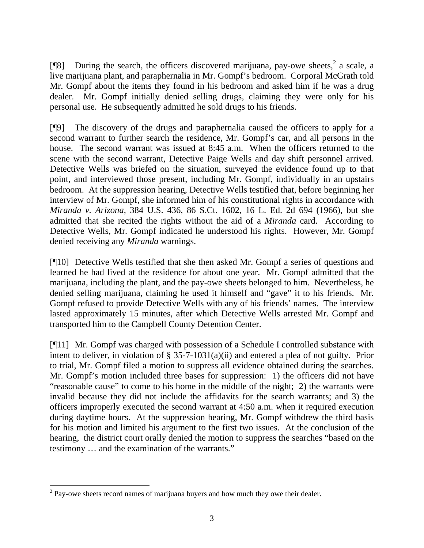[ $[$ [8] During the search, the officers discovered marijuana, pay-owe sheets,  $^2$  $^2$  a scale, a live marijuana plant, and paraphernalia in Mr. Gompf's bedroom. Corporal McGrath told Mr. Gompf about the items they found in his bedroom and asked him if he was a drug dealer. Mr. Gompf initially denied selling drugs, claiming they were only for his personal use. He subsequently admitted he sold drugs to his friends.

[¶9] The discovery of the drugs and paraphernalia caused the officers to apply for a second warrant to further search the residence, Mr. Gompf's car, and all persons in the house. The second warrant was issued at 8:45 a.m. When the officers returned to the scene with the second warrant, Detective Paige Wells and day shift personnel arrived. Detective Wells was briefed on the situation, surveyed the evidence found up to that point, and interviewed those present, including Mr. Gompf, individually in an upstairs bedroom. At the suppression hearing, Detective Wells testified that, before beginning her interview of Mr. Gompf, she informed him of his constitutional rights in accordance with *Miranda v. Arizona,* 384 U.S. 436, 86 S.Ct. 1602, 16 L. Ed. 2d 694 (1966), but she admitted that she recited the rights without the aid of a *Miranda* card. According to Detective Wells, Mr. Gompf indicated he understood his rights. However, Mr. Gompf denied receiving any *Miranda* warnings.

[¶10] Detective Wells testified that she then asked Mr. Gompf a series of questions and learned he had lived at the residence for about one year. Mr. Gompf admitted that the marijuana, including the plant, and the pay-owe sheets belonged to him. Nevertheless, he denied selling marijuana, claiming he used it himself and "gave" it to his friends. Mr. Gompf refused to provide Detective Wells with any of his friends' names. The interview lasted approximately 15 minutes, after which Detective Wells arrested Mr. Gompf and transported him to the Campbell County Detention Center.

[¶11] Mr. Gompf was charged with possession of a Schedule I controlled substance with intent to deliver, in violation of § 35-7-1031(a)(ii) and entered a plea of not guilty. Prior to trial, Mr. Gompf filed a motion to suppress all evidence obtained during the searches. Mr. Gompf's motion included three bases for suppression: 1) the officers did not have "reasonable cause" to come to his home in the middle of the night; 2) the warrants were invalid because they did not include the affidavits for the search warrants; and 3) the officers improperly executed the second warrant at 4:50 a.m. when it required execution during daytime hours. At the suppression hearing, Mr. Gompf withdrew the third basis for his motion and limited his argument to the first two issues. At the conclusion of the hearing, the district court orally denied the motion to suppress the searches "based on the testimony … and the examination of the warrants."

<span id="page-3-0"></span> $\frac{1}{2}$  $2$  Pay-owe sheets record names of marijuana buyers and how much they owe their dealer.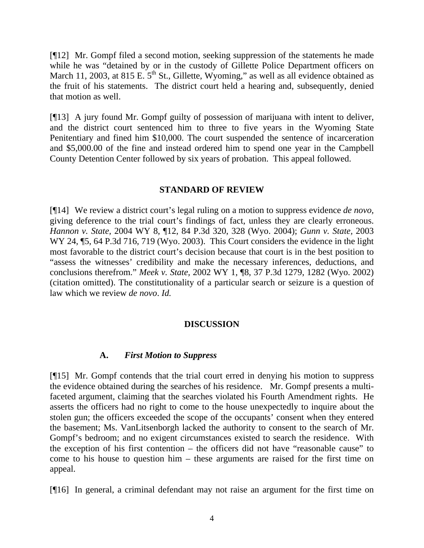[¶12] Mr. Gompf filed a second motion, seeking suppression of the statements he made while he was "detained by or in the custody of Gillette Police Department officers on March 11, 2003, at 815 E.  $5<sup>th</sup>$  St., Gillette, Wyoming," as well as all evidence obtained as the fruit of his statements. The district court held a hearing and, subsequently, denied that motion as well.

[¶13] A jury found Mr. Gompf guilty of possession of marijuana with intent to deliver, and the district court sentenced him to three to five years in the Wyoming State Penitentiary and fined him \$10,000. The court suspended the sentence of incarceration and \$5,000.00 of the fine and instead ordered him to spend one year in the Campbell County Detention Center followed by six years of probation. This appeal followed.

### **STANDARD OF REVIEW**

[¶14] We review a district court's legal ruling on a motion to suppress evidence *de novo,*  giving deference to the trial court's findings of fact, unless they are clearly erroneous. *Hannon v. State,* 2004 WY 8, ¶12, 84 P.3d 320, 328 (Wyo. 2004); *Gunn v. State,* 2003 WY 24, 15, 64 P.3d 716, 719 (Wyo. 2003). This Court considers the evidence in the light most favorable to the district court's decision because that court is in the best position to "assess the witnesses' credibility and make the necessary inferences, deductions, and conclusions therefrom." *Meek v. State,* 2002 WY 1, ¶8, 37 P.3d 1279, 1282 (Wyo. 2002) (citation omitted). The constitutionality of a particular search or seizure is a question of law which we review *de novo*. *Id.*

# **DISCUSSION**

# **A.** *First Motion to Suppress*

[¶15] Mr. Gompf contends that the trial court erred in denying his motion to suppress the evidence obtained during the searches of his residence. Mr. Gompf presents a multifaceted argument, claiming that the searches violated his Fourth Amendment rights. He asserts the officers had no right to come to the house unexpectedly to inquire about the stolen gun; the officers exceeded the scope of the occupants' consent when they entered the basement; Ms. VanLitsenborgh lacked the authority to consent to the search of Mr. Gompf's bedroom; and no exigent circumstances existed to search the residence. With the exception of his first contention – the officers did not have "reasonable cause" to come to his house to question him – these arguments are raised for the first time on appeal.

[¶16] In general, a criminal defendant may not raise an argument for the first time on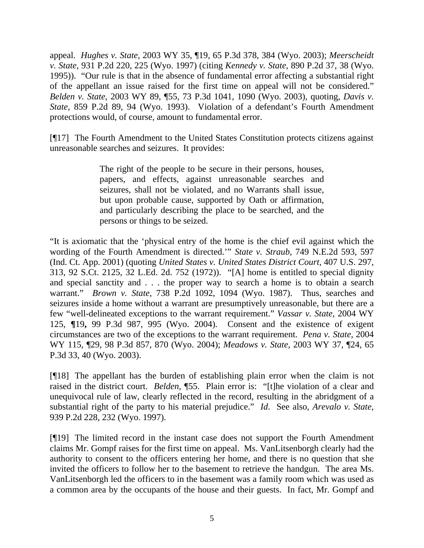appeal. *Hughes v. State,* 2003 WY 35, ¶19, 65 P.3d 378, 384 (Wyo. 2003); *[Meerscheidt](http://www.westlaw.com/Find/Default.wl?rs=dfa1.0&vr=2.0&DB=661&FindType=Y&ReferencePositionType=S&SerialNum=1997028761&ReferencePosition=225) [v. State,](http://www.westlaw.com/Find/Default.wl?rs=dfa1.0&vr=2.0&DB=661&FindType=Y&ReferencePositionType=S&SerialNum=1997028761&ReferencePosition=225)* [931 P.2d 220, 225 \(Wyo. 1997\)](http://www.westlaw.com/Find/Default.wl?rs=dfa1.0&vr=2.0&DB=661&FindType=Y&ReferencePositionType=S&SerialNum=1997028761&ReferencePosition=225) (citing *[Kennedy v. State,](http://www.westlaw.com/Find/Default.wl?rs=dfa1.0&vr=2.0&DB=661&FindType=Y&ReferencePositionType=S&SerialNum=1995048322&ReferencePosition=38)* [890 P.2d 37, 38 \(Wyo.](http://www.westlaw.com/Find/Default.wl?rs=dfa1.0&vr=2.0&DB=661&FindType=Y&ReferencePositionType=S&SerialNum=1995048322&ReferencePosition=38) [1995\)](http://www.westlaw.com/Find/Default.wl?rs=dfa1.0&vr=2.0&DB=661&FindType=Y&ReferencePositionType=S&SerialNum=1995048322&ReferencePosition=38)). "Our rule is that in the absence of fundamental error affecting a substantial right of the appellant an issue raised for the first time on appeal will not be considered." *Belden v. State,* 2003 WY 89, ¶55, 73 P.3d 1041, 1090 (Wyo. 2003), quoting, *[Davis v.](http://www.westlaw.com/Find/Default.wl?rs=dfa1.0&vr=2.0&DB=661&FindType=Y&ReferencePositionType=S&SerialNum=1993175781&ReferencePosition=94)  [State,](http://www.westlaw.com/Find/Default.wl?rs=dfa1.0&vr=2.0&DB=661&FindType=Y&ReferencePositionType=S&SerialNum=1993175781&ReferencePosition=94)* [859 P.2d 89, 94 \(Wyo. 1993\)](http://www.westlaw.com/Find/Default.wl?rs=dfa1.0&vr=2.0&DB=661&FindType=Y&ReferencePositionType=S&SerialNum=1993175781&ReferencePosition=94). Violation of a defendant's Fourth Amendment protections would, of course, amount to fundamental error.

[¶17] The Fourth Amendment to the United States Constitution protects citizens against unreasonable searches and seizures. It provides:

> The right of the people to be secure in their persons, houses, papers, and effects, against unreasonable searches and seizures, shall not be violated, and no Warrants shall issue, but upon probable cause, supported by Oath or affirmation, and particularly describing the place to be searched, and the persons or things to be seized.

"It is axiomatic that the 'physical entry of the home is the chief evil against which the wording of the Fourth Amendment is directed.'" *State v. Straub,* 749 N.E.2d 593, 597 (Ind. Ct. App. 2001) (quoting *United States v. United States District Court,* 407 U.S. 297, 313, 92 S.Ct. 2125, 32 L.Ed. 2d. 752 (1972)). "[A] home is entitled to special dignity and special sanctity and . . . the proper way to search a home is to obtain a search warrant." *Brown v. State,* 738 P.2d 1092, 1094 (Wyo. 1987). Thus, searches and seizures inside a home without a warrant are presumptively unreasonable, but there are a few "well-delineated exceptions to the warrant requirement." *Vassar v. State*, 2004 WY 125, **¶**19**,** 99 P.3d 987, 995 (Wyo. 2004). Consent and the existence of exigent circumstances are two of the exceptions to the warrant requirement. *Pena v. State,* 2004 WY 115, ¶29, 98 P.3d 857, 870 (Wyo. 2004); *Meadows v. State,* 2003 WY 37, ¶24, 65 P.3d 33, 40 (Wyo. 2003).

[¶18] The appellant has the burden of establishing plain error when the claim is not raised in the district court. *Belden,* ¶55. Plain error is: "[t]he violation of a clear and unequivocal rule of law, clearly reflected in the record, resulting in the abridgment of [a](http://www.westlaw.com/Find/Default.wl?rs=dfa1.0&vr=2.0&DB=661&FindType=Y&ReferencePositionType=S&SerialNum=1997116373&ReferencePosition=232)  substantial right of the party to his material prejudice." *Id*. See also, *[Arevalo v. State,](http://www.westlaw.com/Find/Default.wl?rs=dfa1.0&vr=2.0&DB=661&FindType=Y&ReferencePositionType=S&SerialNum=1997116373&ReferencePosition=232)* [939 P.2d 228, 232 \(Wyo. 1997\).](http://www.westlaw.com/Find/Default.wl?rs=dfa1.0&vr=2.0&DB=661&FindType=Y&ReferencePositionType=S&SerialNum=1997116373&ReferencePosition=232)

[¶19] The limited record in the instant case does not support the Fourth Amendment claims Mr. Gompf raises for the first time on appeal. Ms. VanLitsenborgh clearly had the authority to consent to the officers entering her home, and there is no question that she invited the officers to follow her to the basement to retrieve the handgun. The area Ms. VanLitsenborgh led the officers to in the basement was a family room which was used as a common area by the occupants of the house and their guests. In fact, Mr. Gompf and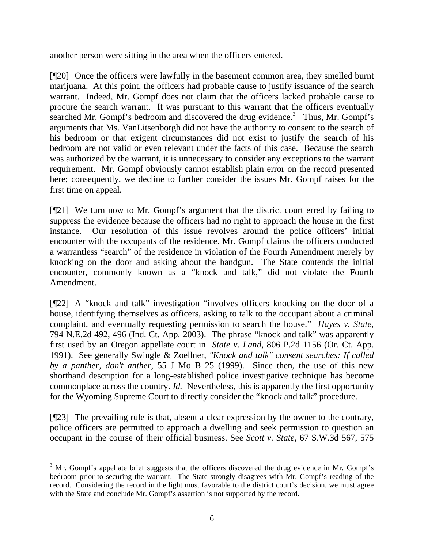another person were sitting in the area when the officers entered.

[¶20] Once the officers were lawfully in the basement common area, they smelled burnt marijuana. At this point, the officers had probable cause to justify issuance of the search warrant. Indeed, Mr. Gompf does not claim that the officers lacked probable cause to procure the search warrant. It was pursuant to this warrant that the officers eventually searched Mr. Gompf's bedroom and discovered the drug evidence.<sup>[3](#page-6-0)</sup> Thus, Mr. Gompf's arguments that Ms. VanLitsenborgh did not have the authority to consent to the search of his bedroom or that exigent circumstances did not exist to justify the search of his bedroom are not valid or even relevant under the facts of this case. Because the search was authorized by the warrant, it is unnecessary to consider any exceptions to the warrant requirement. Mr. Gompf obviously cannot establish plain error on the record presented here; consequently, we decline to further consider the issues Mr. Gompf raises for the first time on appeal.

[¶21] We turn now to Mr. Gompf's argument that the district court erred by failing to suppress the evidence because the officers had no right to approach the house in the first instance. Our resolution of this issue revolves around the police officers' initial encounter with the occupants of the residence. Mr. Gompf claims the officers conducted a warrantless "search" of the residence in violation of the Fourth Amendment merely by knocking on the door and asking about the handgun. The State contends the initial encounter, commonly known as a "knock and talk," did not violate the Fourth Amendment.

[¶22] A "knock and talk" investigation "involves officers knocking on the door of a house, identifying themselves as officers, asking to talk to the occupant about a criminal complaint, and eventually requesting permission to search the house." *Hayes v. State,*  794 N.E.2d 492, 496 (Ind. Ct. App. 2003). The phrase "knock and talk" was apparently first used by an Oregon appellate court in *State v. Land,* 806 P.2d 1156 (Or. Ct. App. 1991). See generally Swingle & Zoellner, *"Knock and talk" consent searches: If called by a panther, don't anther*, 55 J Mo B 25 (1999). Since then, the use of this new shorthand description for a long-established police investigative technique has become commonplace across the country. *Id.* Nevertheless, this is apparently the first opportunity for the Wyoming Supreme Court to directly consider the "knock and talk" procedure.

[¶23] The prevailing rule is that, absent a clear expression by the owner to the contrary, police officers are permitted to approach a dwelling and seek permission to question an occupant in the course of their official business. See *Scott v. State*, 67 S.W.3d 567, 575

<span id="page-6-0"></span> $\frac{1}{3}$  $3$  Mr. Gompf's appellate brief suggests that the officers discovered the drug evidence in Mr. Gompf's bedroom prior to securing the warrant. The State strongly disagrees with Mr. Gompf's reading of the record. Considering the record in the light most favorable to the district court's decision, we must agree with the State and conclude Mr. Gompf's assertion is not supported by the record.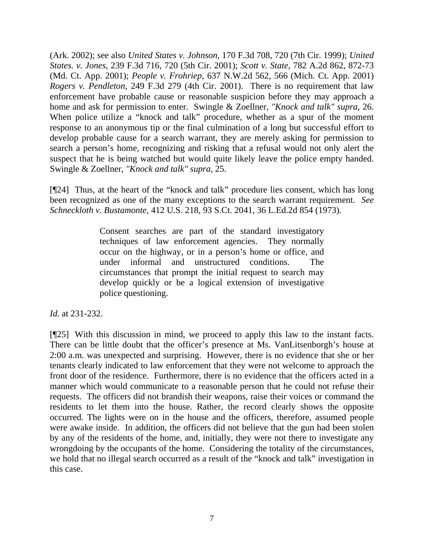(Ark. 2002); see also *United States v. Johnson*, 170 F.3d 708, 720 (7th Cir. 1999); *United States. v. Jones*, 239 F.3d 716, 720 (5th Cir. 2001); *Scott v. State*, 782 A.2d 862, 872-73 (Md. Ct. App. 2001); *People v. Frohriep*, 637 N.W.2d 562, 566 (Mich. Ct. App. 2001) *Rogers v. Pendleton*, 249 F.3d 279 (4th Cir. 2001). There is no requirement that law enforcement have probable cause or reasonable suspicion before they may approach a home and ask for permission to enter. Swingle & Zoellner, *"Knock and talk" supra,* 26. When police utilize a "knock and talk" procedure, whether as a spur of the moment response to an anonymous tip or the final culmination of a long but successful effort to develop probable cause for a search warrant, they are merely asking for permission to search a person's home, recognizing and risking that a refusal would not only alert the suspect that he is being watched but would quite likely leave the police empty handed. Swingle & Zoellner, *"Knock and talk" supra,* 25.

[¶24] Thus, at the heart of the "knock and talk" procedure lies consent, which has long been recognized as one of the many exceptions to the search warrant requirement. *See Schneckloth v. Bustamonte,* 412 U.S. 218, 93 S.Ct. 2041, 36 L.Ed.2d 854 (1973).

> Consent searches are part of the standard investigatory techniques of law enforcement agencies. They normally occur on the highway, or in a person's home or office, and under informal and unstructured conditions. The circumstances that prompt the initial request to search may develop quickly or be a logical extension of investigative police questioning.

*Id.* at 231-232.

[¶25] With this discussion in mind, we proceed to apply this law to the instant facts. There can be little doubt that the officer's presence at Ms. VanLitsenborgh's house at 2:00 a.m. was unexpected and surprising. However, there is no evidence that she or her tenants clearly indicated to law enforcement that they were not welcome to approach the front door of the residence. Furthermore, there is no evidence that the officers acted in a manner which would communicate to a reasonable person that he could not refuse their requests. The officers did not brandish their weapons, raise their voices or command the residents to let them into the house. Rather, the record clearly shows the opposite occurred. The lights were on in the house and the officers, therefore, assumed people were awake inside. In addition, the officers did not believe that the gun had been stolen by any of the residents of the home, and, initially, they were not there to investigate any wrongdoing by the occupants of the home. Considering the totality of the circumstances, we hold that no illegal search occurred as a result of the "knock and talk" investigation in this case.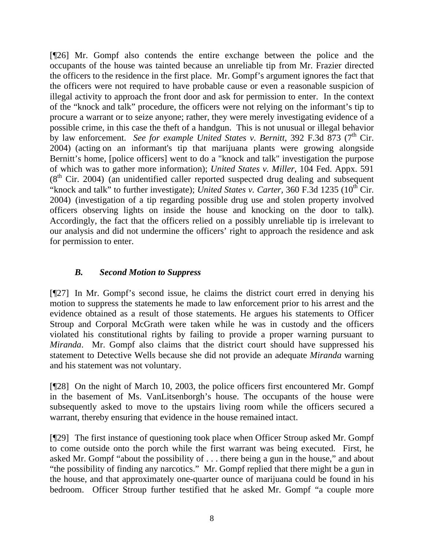[¶26] Mr. Gompf also contends the entire exchange between the police and the occupants of the house was tainted because an unreliable tip from Mr. Frazier directed the officers to the residence in the first place. Mr. Gompf's argument ignores the fact that the officers were not required to have probable cause or even a reasonable suspicion of illegal activity to approach the front door and ask for permission to enter. In the context of the "knock and talk" procedure, the officers were not relying on the informant's tip to procure a warrant or to seize anyone; rather, they were merely investigating evidence of a possible crime, in this case the theft of a handgun. This is not unusual or illegal behavior by law enforcement. *See for example United States v. Bernitt*, 392 F.3d 873 (7<sup>th</sup> Cir. 2004)(acting on an informant's tip that marijuana plants were growing alongside Bernitt's home, [police officers] went to do a "knock and talk" investigation the purpose of which was to gather more information); *United States v. Miller*, 104 Fed. Appx. 591 (8<sup>th</sup> Cir. 2004) (an unidentified caller reported suspected drug dealing and subsequent "knock and talk" to further investigate); *United States v. Carter*, 360 F.3d 1235 (10<sup>th</sup> Cir. 2004) (investigation of a tip regarding possible drug use and stolen property involved officers observing lights on inside the house and knocking on the door to talk). Accordingly, the fact that the officers relied on a possibly unreliable tip is irrelevant to our analysis and did not undermine the officers' right to approach the residence and ask for permission to enter.

# *B. Second Motion to Suppress*

[¶27] In Mr. Gompf's second issue, he claims the district court erred in denying his motion to suppress the statements he made to law enforcement prior to his arrest and the evidence obtained as a result of those statements. He argues his statements to Officer Stroup and Corporal McGrath were taken while he was in custody and the officers violated his constitutional rights by failing to provide a proper warning pursuant to *Miranda*. Mr. Gompf also claims that the district court should have suppressed his statement to Detective Wells because she did not provide an adequate *Miranda* warning and his statement was not voluntary.

[¶28] On the night of March 10, 2003, the police officers first encountered Mr. Gompf in the basement of Ms. VanLitsenborgh's house. The occupants of the house were subsequently asked to move to the upstairs living room while the officers secured a warrant, thereby ensuring that evidence in the house remained intact.

[¶29] The first instance of questioning took place when Officer Stroup asked Mr. Gompf to come outside onto the porch while the first warrant was being executed. First, he asked Mr. Gompf "about the possibility of . . . there being a gun in the house," and about "the possibility of finding any narcotics." Mr. Gompf replied that there might be a gun in the house, and that approximately one-quarter ounce of marijuana could be found in his bedroom. Officer Stroup further testified that he asked Mr. Gompf "a couple more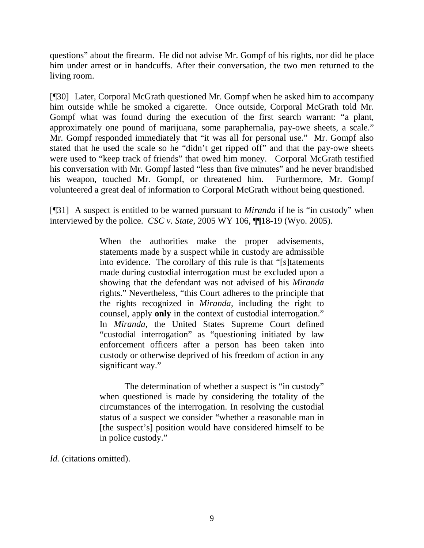questions" about the firearm. He did not advise Mr. Gompf of his rights, nor did he place him under arrest or in handcuffs. After their conversation, the two men returned to the living room.

[¶30] Later, Corporal McGrath questioned Mr. Gompf when he asked him to accompany him outside while he smoked a cigarette. Once outside, Corporal McGrath told Mr. Gompf what was found during the execution of the first search warrant: "a plant, approximately one pound of marijuana, some paraphernalia, pay-owe sheets, a scale." Mr. Gompf responded immediately that "it was all for personal use." Mr. Gompf also stated that he used the scale so he "didn't get ripped off" and that the pay-owe sheets were used to "keep track of friends" that owed him money. Corporal McGrath testified his conversation with Mr. Gompf lasted "less than five minutes" and he never brandished his weapon, touched Mr. Gompf, or threatened him. Furthermore, Mr. Gompf volunteered a great deal of information to Corporal McGrath without being questioned.

[¶31] A suspect is entitled to be warned pursuant to *Miranda* if he is "in custody" when interviewed by the police. *CSC v. State,* 2005 WY 106, ¶¶18-19 (Wyo. 2005).

> When the authorities make the proper advisements, statements made by a suspect while in custody are admissible into evidence. The corollary of this rule is that "[s]tatements made during custodial interrogation must be excluded upon a showing that the defendant was not advised of his *Miranda*  rights." Nevertheless, "this Court adheres to the principle that the rights recognized in *Miranda*, including the right to counsel, apply **only** in the context of custodial interrogation." In *Miranda*, the United States Supreme Court defined "custodial interrogation" as "questioning initiated by law enforcement officers after a person has been taken into custody or otherwise deprived of his freedom of action in any significant way."

> The determination of whether a suspect is "in custody" when questioned is made by considering the totality of the circumstances of the interrogation. In resolving the custodial status of a suspect we consider "whether a reasonable man in [the suspect's] position would have considered himself to be in police custody."

*Id.* (citations omitted).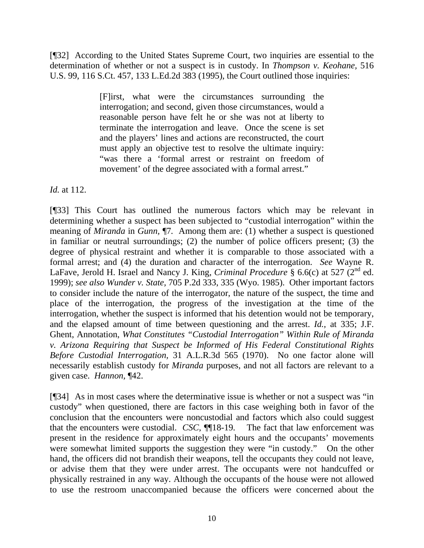[¶32] According to the United States Supreme Court, two inquiries are essential to the determination of whether or not a suspect is in custody. In *Thompson v. Keohane,* 516 U.S. 99, 116 S.Ct. 457, 133 L.Ed.2d 383 (1995), the Court outlined those inquiries:

> [F]irst, what were the circumstances surrounding the interrogation; and second, given those circumstances, would a reasonable person have felt he or she was not at liberty to terminate the interrogation and leave. Once the scene is set and the players' lines and actions are reconstructed, the court must apply an objective test to resolve the ultimate inquiry: "was there a 'formal arrest or restraint on freedom of movement' of the degree associated with a formal arrest."

*Id.* at 112.

[¶33] This Court has outlined the numerous factors which may be relevant in determining whether a suspect has been subjected to "custodial interrogation" within the meaning of *Miranda* in *Gunn,* ¶7*.* Among them are: (1) whether a suspect is questioned in familiar or neutral surroundings; (2) the number of police officers present; (3) the degree of physical restraint and whether it is comparable to those associated with a formal arrest; and (4) the duration and character of the interrogation. *See* Wayne R. LaFave, Jerold H. Israel and Nancy J. King, *Criminal Procedure* § 6.6(c) at 527 (2<sup>nd</sup> ed. 1999); *see also Wunder v. State,* 705 P.2d 333, 335 (Wyo. 1985). Other important factors to consider include the nature of the interrogator, the nature of the suspect, the time and place of the interrogation, the progress of the investigation at the time of the interrogation, whether the suspect is informed that his detention would not be temporary, and the elapsed amount of time between questioning and the arrest. *Id.,* at 335; J.F. Ghent, Annotation, *What Constitutes "Custodial Interrogation" Within Rule of Miranda v. Arizona Requiring that Suspect be Informed of His Federal Constitutional Rights Before Custodial Interrogation,* 31 A.L.R.3d 565 (1970). No one factor alone will necessarily establish custody for *Miranda* purposes, and not all factors are relevant to a given case. *Hannon,* ¶42.

[¶34] As in most cases where the determinative issue is whether or not a suspect was "in custody" when questioned, there are factors in this case weighing both in favor of the conclusion that the encounters were noncustodial and factors which also could suggest that the encounters were custodial. *CSC,* ¶¶18-19*.* The fact that law enforcement was present in the residence for approximately eight hours and the occupants' movements were somewhat limited supports the suggestion they were "in custody." On the other hand, the officers did not brandish their weapons, tell the occupants they could not leave, or advise them that they were under arrest. The occupants were not handcuffed or physically restrained in any way. Although the occupants of the house were not allowed to use the restroom unaccompanied because the officers were concerned about the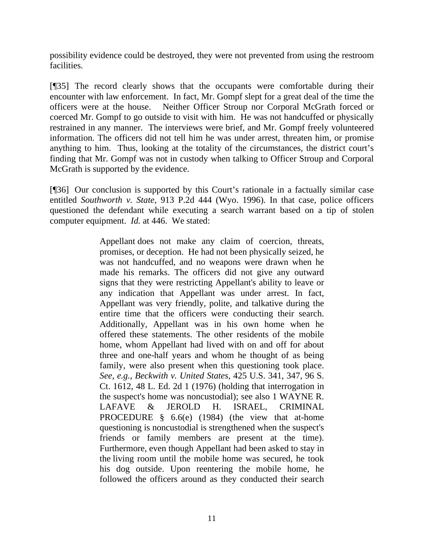possibility evidence could be destroyed, they were not prevented from using the restroom facilities.

[¶35] The record clearly shows that the occupants were comfortable during their encounter with law enforcement. In fact, Mr. Gompf slept for a great deal of the time the officers were at the house. Neither Officer Stroup nor Corporal McGrath forced or coerced Mr. Gompf to go outside to visit with him. He was not handcuffed or physically restrained in any manner. The interviews were brief, and Mr. Gompf freely volunteered information. The officers did not tell him he was under arrest, threaten him, or promise anything to him. Thus, looking at the totality of the circumstances, the district court's finding that Mr. Gompf was not in custody when talking to Officer Stroup and Corporal McGrath is supported by the evidence.

[¶36] Our conclusion is supported by this Court's rationale in a factually similar case entitled *Southworth v. State,* 913 P.2d 444 (Wyo. 1996). In that case*,* police officers questioned the defendant while executing a search warrant based on a tip of stolen computer equipment. *Id.* at 446. We stated:

> Appellant does not make any claim of coercion, threats, promises, or deception. He had not been physically seized, he was not handcuffed, and no weapons were drawn when he made his remarks. The officers did not give any outward signs that they were restricting Appellant's ability to leave or any indication that Appellant was under arrest. In fact, Appellant was very friendly, polite, and talkative during the entire time that the officers were conducting their search. Additionally, Appellant was in his own home when he offered these statements. The other residents of the mobile home, whom Appellant had lived with on and off for about three and one-half years and whom he thought of as being family, were also present when this questioning took place. *See, e.g., Beckwith v. United States,* 425 U.S. 341, 347, 96 S. Ct. 1612, 48 L. Ed. 2d 1 (1976) (holding that interrogation in the suspect's home was noncustodial); see also 1 WAYNE R. LAFAVE & JEROLD H. ISRAEL, CRIMINAL PROCEDURE § 6.6(e) (1984) (the view that at-home questioning is noncustodial is strengthened when the suspect's friends or family members are present at the time). Furthermore, even though Appellant had been asked to stay in the living room until the mobile home was secured, he took his dog outside. Upon reentering the mobile home, he followed the officers around as they conducted their search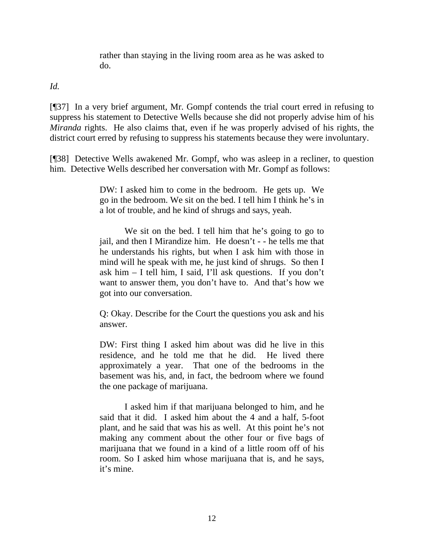rather than staying in the living room area as he was asked to do.

*Id.*

[¶37] In a very brief argument, Mr. Gompf contends the trial court erred in refusing to suppress his statement to Detective Wells because she did not properly advise him of his *Miranda* rights. He also claims that, even if he was properly advised of his rights, the district court erred by refusing to suppress his statements because they were involuntary.

[¶38] Detective Wells awakened Mr. Gompf, who was asleep in a recliner, to question him. Detective Wells described her conversation with Mr. Gompf as follows:

> DW: I asked him to come in the bedroom. He gets up. We go in the bedroom. We sit on the bed. I tell him I think he's in a lot of trouble, and he kind of shrugs and says, yeah.

> We sit on the bed. I tell him that he's going to go to jail, and then I Mirandize him. He doesn't - - he tells me that he understands his rights, but when I ask him with those in mind will he speak with me, he just kind of shrugs. So then I ask him – I tell him, I said, I'll ask questions. If you don't want to answer them, you don't have to. And that's how we got into our conversation.

> Q: Okay. Describe for the Court the questions you ask and his answer.

> DW: First thing I asked him about was did he live in this residence, and he told me that he did. He lived there approximately a year. That one of the bedrooms in the basement was his, and, in fact, the bedroom where we found the one package of marijuana.

> I asked him if that marijuana belonged to him, and he said that it did. I asked him about the 4 and a half, 5-foot plant, and he said that was his as well. At this point he's not making any comment about the other four or five bags of marijuana that we found in a kind of a little room off of his room. So I asked him whose marijuana that is, and he says, it's mine.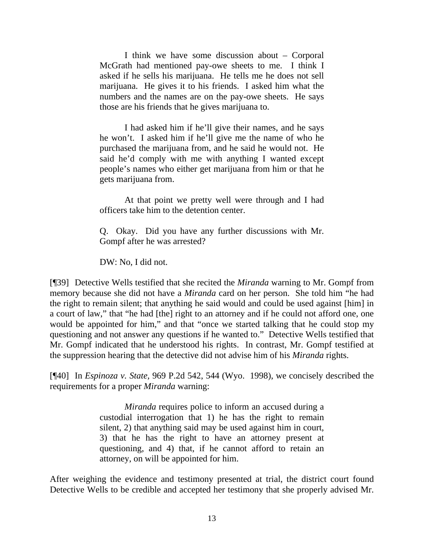I think we have some discussion about – Corporal McGrath had mentioned pay-owe sheets to me. I think I asked if he sells his marijuana. He tells me he does not sell marijuana. He gives it to his friends. I asked him what the numbers and the names are on the pay-owe sheets. He says those are his friends that he gives marijuana to.

I had asked him if he'll give their names, and he says he won't. I asked him if he'll give me the name of who he purchased the marijuana from, and he said he would not. He said he'd comply with me with anything I wanted except people's names who either get marijuana from him or that he gets marijuana from.

At that point we pretty well were through and I had officers take him to the detention center.

Q. Okay. Did you have any further discussions with Mr. Gompf after he was arrested?

DW: No, I did not.

[¶39] Detective Wells testified that she recited the *Miranda* warning to Mr. Gompf from memory because she did not have a *Miranda* card on her person. She told him "he had the right to remain silent; that anything he said would and could be used against [him] in a court of law," that "he had [the] right to an attorney and if he could not afford one, one would be appointed for him," and that "once we started talking that he could stop my questioning and not answer any questions if he wanted to." Detective Wells testified that Mr. Gompf indicated that he understood his rights. In contrast, Mr. Gompf testified at the suppression hearing that the detective did not advise him of his *Miranda* rights.

[¶40] In *Espinoza v. State,* 969 P.2d 542, 544 (Wyo. 1998), we concisely described the requirements for a proper *Miranda* warning:

> *Miranda* requires police to inform an accused during a custodial interrogation that 1) he has the right to remain silent, 2) that anything said may be used against him in court, 3) that he has the right to have an attorney present at questioning, and 4) that, if he cannot afford to retain an attorney, on will be appointed for him.

After weighing the evidence and testimony presented at trial, the district court found Detective Wells to be credible and accepted her testimony that she properly advised Mr.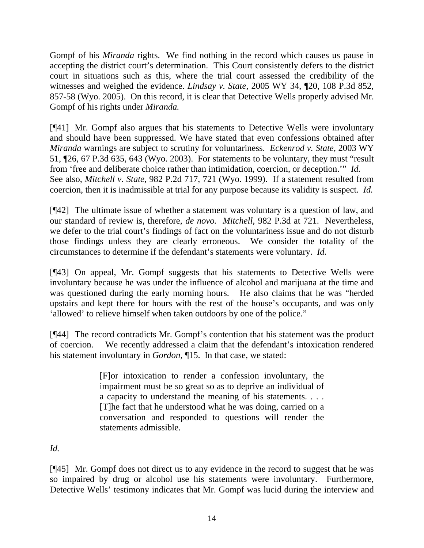Gompf of his *Miranda* rights. We find nothing in the record which causes us pause in accepting the district court's determination. This Court consistently defers to the district court in situations such as this, where the trial court assessed the credibility of the witnesses and weighed the evidence. *Lindsay v. State,* 2005 WY 34, ¶20, 108 P.3d 852, 857-58 (Wyo. 2005). On this record, it is clear that Detective Wells properly advised Mr. Gompf of his rights under *Miranda.* 

[¶41] Mr. Gompf also argues that his statements to Detective Wells were involuntary and should have been suppressed. We have stated that even confessions obtained after *Miranda* warnings are subject to scrutiny for voluntariness. *Eckenrod v. State,* 2003 WY 51, ¶26, 67 P.3d 635, 643 (Wyo. 2003). For statements to be voluntary, they must "result from 'free and deliberate choice rather than intimidation, coercion, or deception.'" *Id.* See also, *Mitchell v. State,* 982 P.2d 717, 721 (Wyo. 1999). If a statement resulted from coercion, then it is inadmissible at trial for any purpose because its validity is suspect. *Id.*

[¶42] The ultimate issue of whether a statement was voluntary is a question of law, and our standard of review is, therefore, *de novo. Mitchell,* 982 P.3d at 721.Nevertheless, we defer to the trial court's findings of fact on the voluntariness issue and do not disturb those findings unless they are clearly erroneous. We consider the totality of the circumstances to determine if the defendant's statements were voluntary. *Id.* 

[¶43] On appeal, Mr. Gompf suggests that his statements to Detective Wells were involuntary because he was under the influence of alcohol and marijuana at the time and was questioned during the early morning hours. He also claims that he was "herded upstairs and kept there for hours with the rest of the house's occupants, and was only 'allowed' to relieve himself when taken outdoors by one of the police."

[¶44] The record contradicts Mr. Gompf's contention that his statement was the product of coercion. We recently addressed a claim that the defendant's intoxication rendered his statement involuntary in *Gordon*, ¶15. In that case, we stated:

> [F]or intoxication to render a confession involuntary, the impairment must be so great so as to deprive an individual of a capacity to understand the meaning of his statements. . . . [T]he fact that he understood what he was doing, carried on a conversation and responded to questions will render the statements admissible.

*Id.*

[¶45] Mr. Gompf does not direct us to any evidence in the record to suggest that he was so impaired by drug or alcohol use his statements were involuntary. Furthermore, Detective Wells' testimony indicates that Mr. Gompf was lucid during the interview and